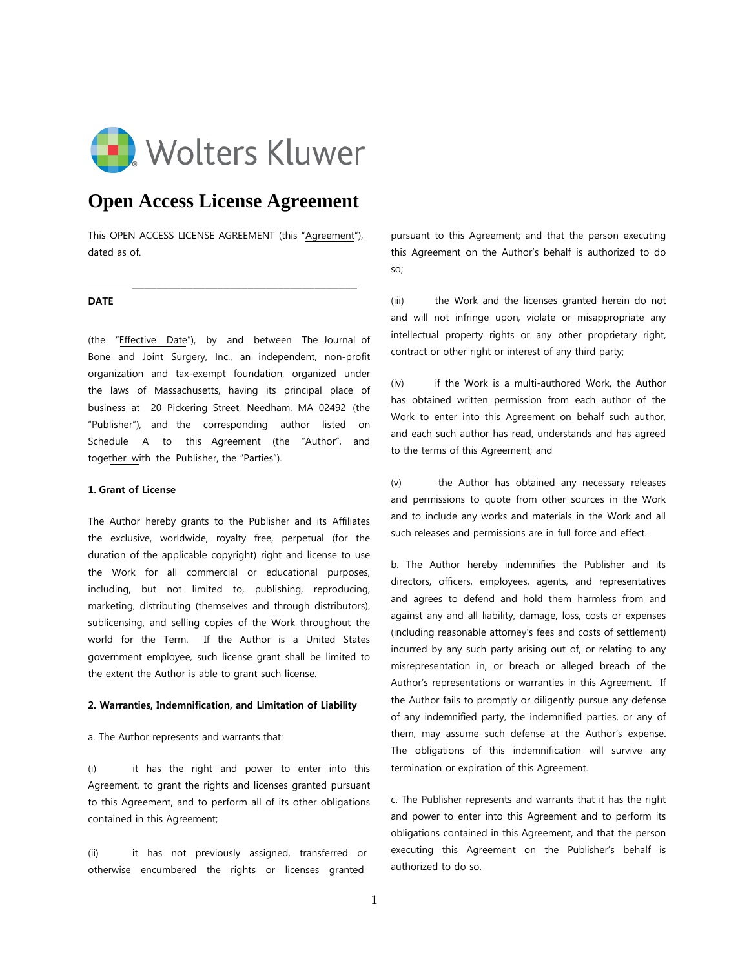

# **Open Access License Agreement**

This OPEN ACCESS LICENSE AGREEMENT (this "Agreement"), dated as of.

\_\_\_\_\_\_\_\_\_\_\_\_\_\_\_\_\_\_\_\_\_\_\_\_\_\_\_\_\_\_\_\_\_\_\_\_\_

### **DATE**

(the "Effective Date"), by and between The Journal of Bone and Joint Surgery, Inc., an independent, non-profit organization and tax-exempt foundation, organized under the laws of Massachusetts, having its principal place of business at 20 Pickering Street, Needham, MA 02492 (the "Publisher"), and the corresponding author listed on Schedule A to this Agreement (the "Author", and together with the Publisher, the "Parties").

### **1. Grant of License**

The Author hereby grants to the Publisher and its Affiliates the exclusive, worldwide, royalty free, perpetual (for the duration of the applicable copyright) right and license to use the Work for all commercial or educational purposes, including, but not limited to, publishing, reproducing, marketing, distributing (themselves and through distributors), sublicensing, and selling copies of the Work throughout the world for the Term. If the Author is a United States government employee, such license grant shall be limited to the extent the Author is able to grant such license.

### **2. Warranties, Indemnification, and Limitation of Liability**

a. The Author represents and warrants that:

(i) it has the right and power to enter into this Agreement, to grant the rights and licenses granted pursuant to this Agreement, and to perform all of its other obligations contained in this Agreement;

(ii) it has not previously assigned, transferred or otherwise encumbered the rights or licenses granted

pursuant to this Agreement; and that the person executing this Agreement on the Author's behalf is authorized to do so;

(iii) the Work and the licenses granted herein do not and will not infringe upon, violate or misappropriate any intellectual property rights or any other proprietary right, contract or other right or interest of any third party;

(iv) if the Work is a multi-authored Work, the Author has obtained written permission from each author of the Work to enter into this Agreement on behalf such author, and each such author has read, understands and has agreed to the terms of this Agreement; and

(v) the Author has obtained any necessary releases and permissions to quote from other sources in the Work and to include any works and materials in the Work and all such releases and permissions are in full force and effect.

b. The Author hereby indemnifies the Publisher and its directors, officers, employees, agents, and representatives and agrees to defend and hold them harmless from and against any and all liability, damage, loss, costs or expenses (including reasonable attorney's fees and costs of settlement) incurred by any such party arising out of, or relating to any misrepresentation in, or breach or alleged breach of the Author's representations or warranties in this Agreement. If the Author fails to promptly or diligently pursue any defense of any indemnified party, the indemnified parties, or any of them, may assume such defense at the Author's expense. The obligations of this indemnification will survive any termination or expiration of this Agreement.

c. The Publisher represents and warrants that it has the right and power to enter into this Agreement and to perform its obligations contained in this Agreement, and that the person executing this Agreement on the Publisher's behalf is authorized to do so.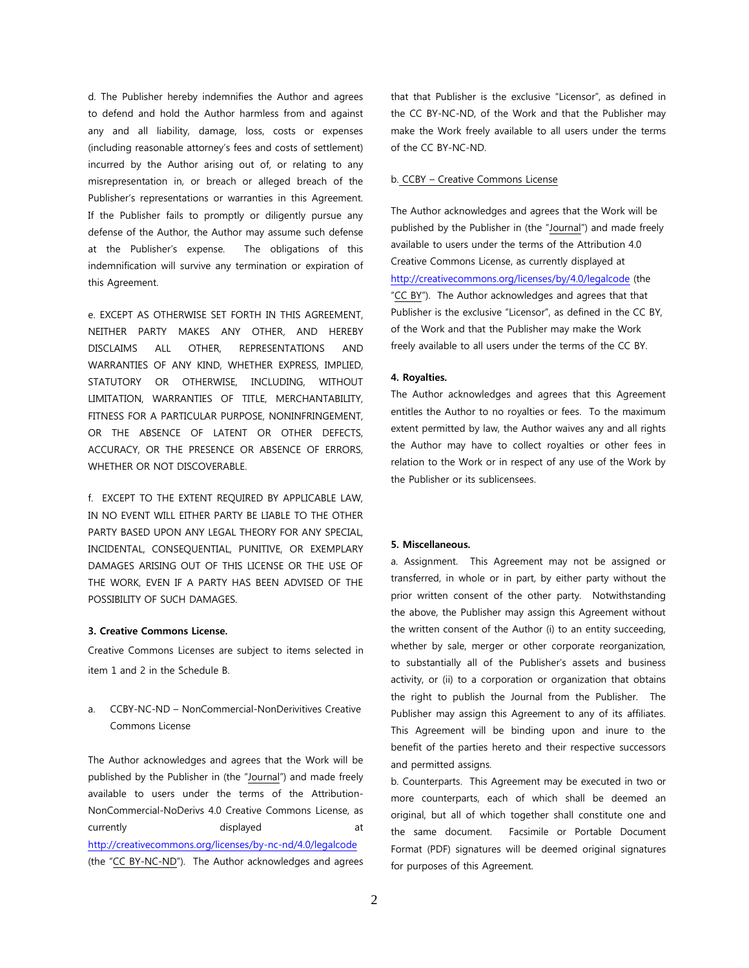d. The Publisher hereby indemnifies the Author and agrees to defend and hold the Author harmless from and against any and all liability, damage, loss, costs or expenses (including reasonable attorney's fees and costs of settlement) incurred by the Author arising out of, or relating to any misrepresentation in, or breach or alleged breach of the Publisher's representations or warranties in this Agreement. If the Publisher fails to promptly or diligently pursue any defense of the Author, the Author may assume such defense at the Publisher's expense. The obligations of this indemnification will survive any termination or expiration of this Agreement.

e. EXCEPT AS OTHERWISE SET FORTH IN THIS AGREEMENT, NEITHER PARTY MAKES ANY OTHER, AND HEREBY DISCLAIMS ALL OTHER, REPRESENTATIONS AND WARRANTIES OF ANY KIND, WHETHER EXPRESS, IMPLIED, STATUTORY OR OTHERWISE, INCLUDING, WITHOUT LIMITATION, WARRANTIES OF TITLE, MERCHANTABILITY, FITNESS FOR A PARTICULAR PURPOSE, NONINFRINGEMENT, OR THE ABSENCE OF LATENT OR OTHER DEFECTS, ACCURACY, OR THE PRESENCE OR ABSENCE OF ERRORS, WHETHER OR NOT DISCOVERABLE.

f. EXCEPT TO THE EXTENT REQUIRED BY APPLICABLE LAW, IN NO EVENT WILL EITHER PARTY BE LIABLE TO THE OTHER PARTY BASED UPON ANY LEGAL THEORY FOR ANY SPECIAL, INCIDENTAL, CONSEQUENTIAL, PUNITIVE, OR EXEMPLARY DAMAGES ARISING OUT OF THIS LICENSE OR THE USE OF THE WORK, EVEN IF A PARTY HAS BEEN ADVISED OF THE POSSIBILITY OF SUCH DAMAGES.

### **3. Creative Commons License.**

Creative Commons Licenses are subject to items selected in item 1 and 2 in the Schedule B.

a. CCBY-NC-ND – NonCommercial-NonDerivitives Creative Commons License

The Author acknowledges and agrees that the Work will be published by the Publisher in (the "Journal") and made freely available to users under the terms of the Attribution-NonCommercial-NoDerivs 4.0 Creative Commons License, as currently and displayed at the displayed at the currently at the displayed at the control of  $\alpha$ <http://creativecommons.org/licenses/by-nc-nd/4.0/legalcode> (the "CC BY-NC-ND"). The Author acknowledges and agrees

that that Publisher is the exclusive "Licensor", as defined in the CC BY-NC-ND, of the Work and that the Publisher may make the Work freely available to all users under the terms of the CC BY-NC-ND.

### b. CCBY – Creative Commons License

The Author acknowledges and agrees that the Work will be published by the Publisher in (the "Journal") and made freely available to users under the terms of the Attribution 4.0 Creative Commons License, as currently displayed at <http://creativecommons.org/licenses/by/4.0/legalcode>(the "CC BY"). The Author acknowledges and agrees that that Publisher is the exclusive "Licensor", as defined in the CC BY, of the Work and that the Publisher may make the Work freely available to all users under the terms of the CC BY.

### **4. Royalties.**

The Author acknowledges and agrees that this Agreement entitles the Author to no royalties or fees. To the maximum extent permitted by law, the Author waives any and all rights the Author may have to collect royalties or other fees in relation to the Work or in respect of any use of the Work by the Publisher or its sublicensees.

### **5. Miscellaneous.**

a. Assignment. This Agreement may not be assigned or transferred, in whole or in part, by either party without the prior written consent of the other party. Notwithstanding the above, the Publisher may assign this Agreement without the written consent of the Author (i) to an entity succeeding, whether by sale, merger or other corporate reorganization, to substantially all of the Publisher's assets and business activity, or (ii) to a corporation or organization that obtains the right to publish the Journal from the Publisher. The Publisher may assign this Agreement to any of its affiliates. This Agreement will be binding upon and inure to the benefit of the parties hereto and their respective successors and permitted assigns.

b. Counterparts. This Agreement may be executed in two or more counterparts, each of which shall be deemed an original, but all of which together shall constitute one and the same document. Facsimile or Portable Document Format (PDF) signatures will be deemed original signatures for purposes of this Agreement.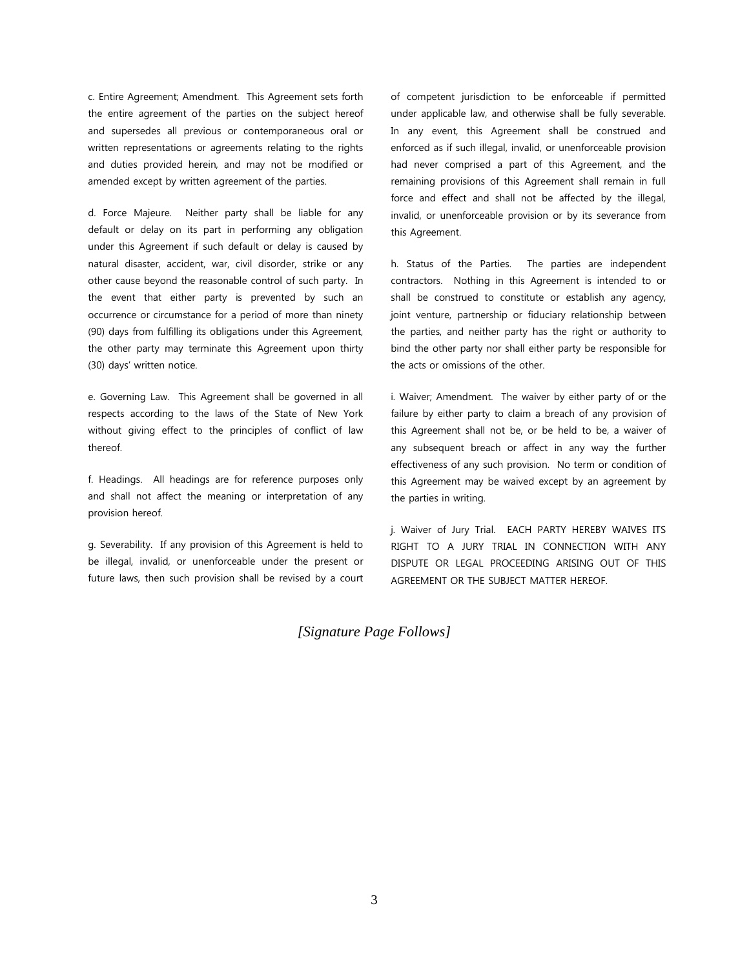c. Entire Agreement; Amendment. This Agreement sets forth the entire agreement of the parties on the subject hereof and supersedes all previous or contemporaneous oral or written representations or agreements relating to the rights and duties provided herein, and may not be modified or amended except by written agreement of the parties.

d. Force Majeure. Neither party shall be liable for any default or delay on its part in performing any obligation under this Agreement if such default or delay is caused by natural disaster, accident, war, civil disorder, strike or any other cause beyond the reasonable control of such party. In the event that either party is prevented by such an occurrence or circumstance for a period of more than ninety (90) days from fulfilling its obligations under this Agreement, the other party may terminate this Agreement upon thirty (30) days' written notice.

e. Governing Law. This Agreement shall be governed in all respects according to the laws of the State of New York without giving effect to the principles of conflict of law thereof.

f. Headings. All headings are for reference purposes only and shall not affect the meaning or interpretation of any provision hereof.

g. Severability. If any provision of this Agreement is held to be illegal, invalid, or unenforceable under the present or future laws, then such provision shall be revised by a court of competent jurisdiction to be enforceable if permitted under applicable law, and otherwise shall be fully severable. In any event, this Agreement shall be construed and enforced as if such illegal, invalid, or unenforceable provision had never comprised a part of this Agreement, and the remaining provisions of this Agreement shall remain in full force and effect and shall not be affected by the illegal, invalid, or unenforceable provision or by its severance from this Agreement.

h. Status of the Parties. The parties are independent contractors. Nothing in this Agreement is intended to or shall be construed to constitute or establish any agency, joint venture, partnership or fiduciary relationship between the parties, and neither party has the right or authority to bind the other party nor shall either party be responsible for the acts or omissions of the other.

i. Waiver; Amendment. The waiver by either party of or the failure by either party to claim a breach of any provision of this Agreement shall not be, or be held to be, a waiver of any subsequent breach or affect in any way the further effectiveness of any such provision. No term or condition of this Agreement may be waived except by an agreement by the parties in writing.

j. Waiver of Jury Trial. EACH PARTY HEREBY WAIVES ITS RIGHT TO A JURY TRIAL IN CONNECTION WITH ANY DISPUTE OR LEGAL PROCEEDING ARISING OUT OF THIS AGREEMENT OR THE SUBJECT MATTER HEREOF.

## *[Signature Page Follows]*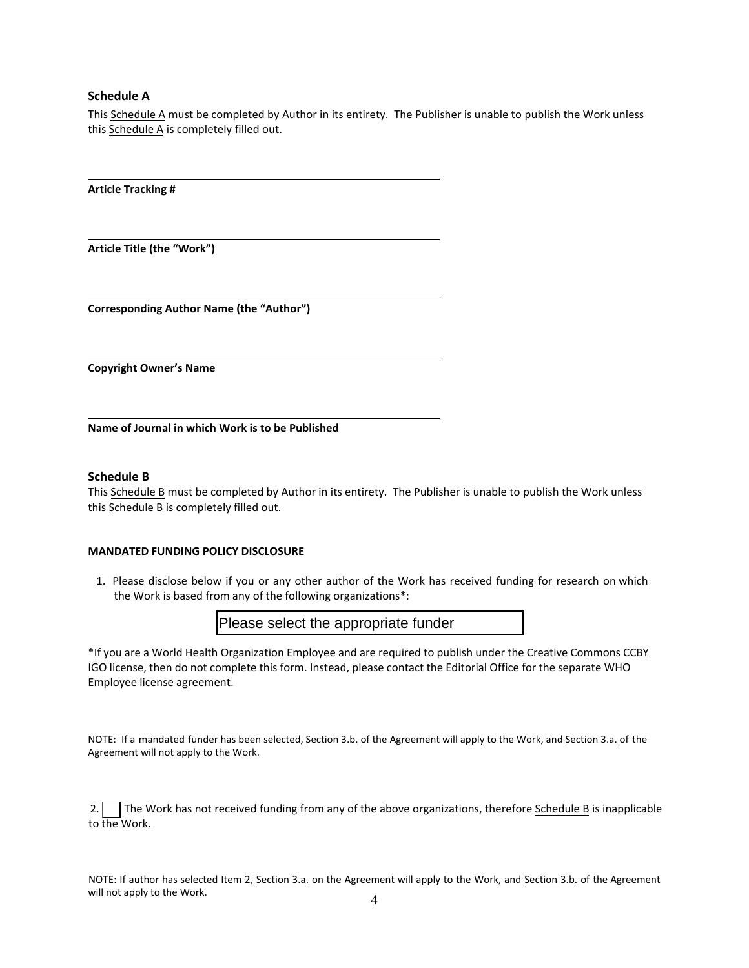## **Schedule A**

This Schedule A must be completed by Author in its entirety. The Publisher is unable to publish the Work unless this Schedule A is completely filled out.

**Article Tracking #** 

**Article Title (the "Work")**

**Corresponding Author Name (the "Author")**

**Copyright Owner's Name**

**Name of Journal in which Work is to be Published** 

## **Schedule B**

This Schedule B must be completed by Author in its entirety. The Publisher is unable to publish the Work unless this Schedule B is completely filled out.

### **MANDATED FUNDING POLICY DISCLOSURE**

1. Please disclose below if you or any other author of the Work has received funding for research on which the Work is based from any of the following organizations\*:

Please select the appropriate funder

\*If you are a World Health Organization Employee and are required to publish under the Creative Commons CCBY IGO license, then do not complete this form. Instead, please contact the Editorial Office for the separate WHO Employee license agreement.

NOTE: If a mandated funder has been selected, Section 3.b. of the Agreement will apply to the Work, and Section 3.a. of the Agreement will not apply to the Work.

2. The Work has not received funding from any of the above organizations, therefore Schedule B is inapplicable to the Work.

NOTE: If author has selected Item 2, Section 3.a. on the Agreement will apply to the Work, and Section 3.b. of the Agreement will not apply to the Work.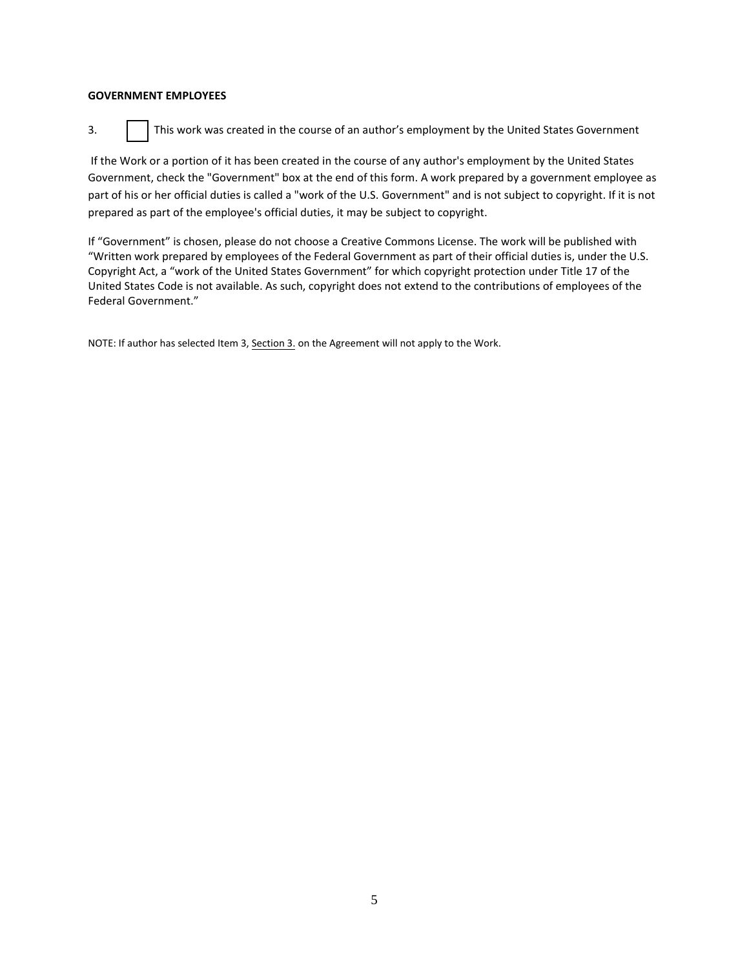## **GOVERNMENT EMPLOYEES**

3. **I** This work was created in the course of an author's employment by the United States Government

If the Work or a portion of it has been created in the course of any author's employment by the United States Government, check the "Government" box at the end of this form. A work prepared by a government employee as part of his or her official duties is called a "work of the U.S. Government" and is not subject to copyright. If it is not prepared as part of the employee's official duties, it may be subject to copyright.

If "Government" is chosen, please do not choose a Creative Commons License. The work will be published with "Written work prepared by employees of the Federal Government as part of their official duties is, under the U.S. Copyright Act, a "work of the United States Government" for which copyright protection under Title 17 of the United States Code is not available. As such, copyright does not extend to the contributions of employees of the Federal Government."

NOTE: If author has selected Item 3, Section 3. on the Agreement will not apply to the Work.